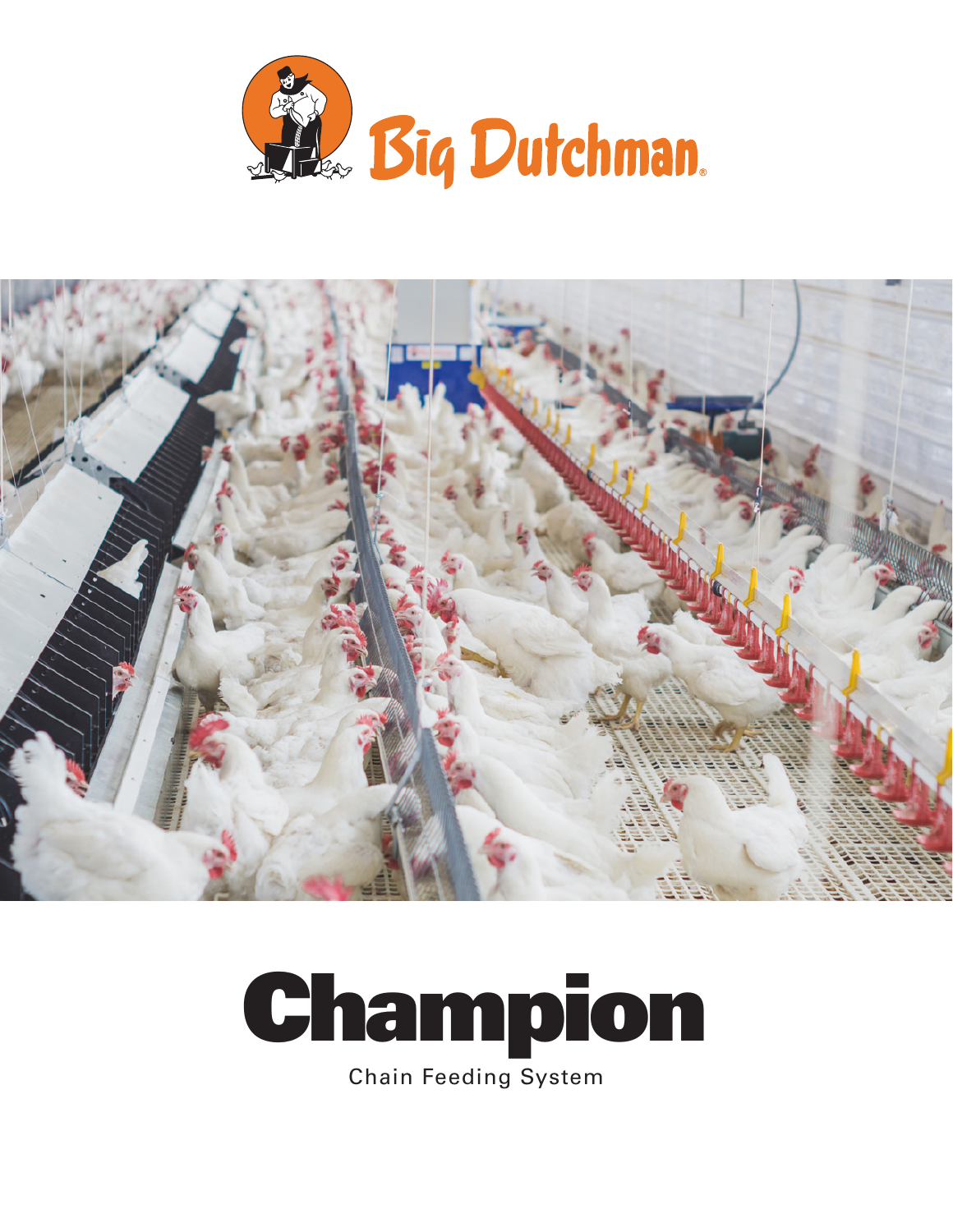



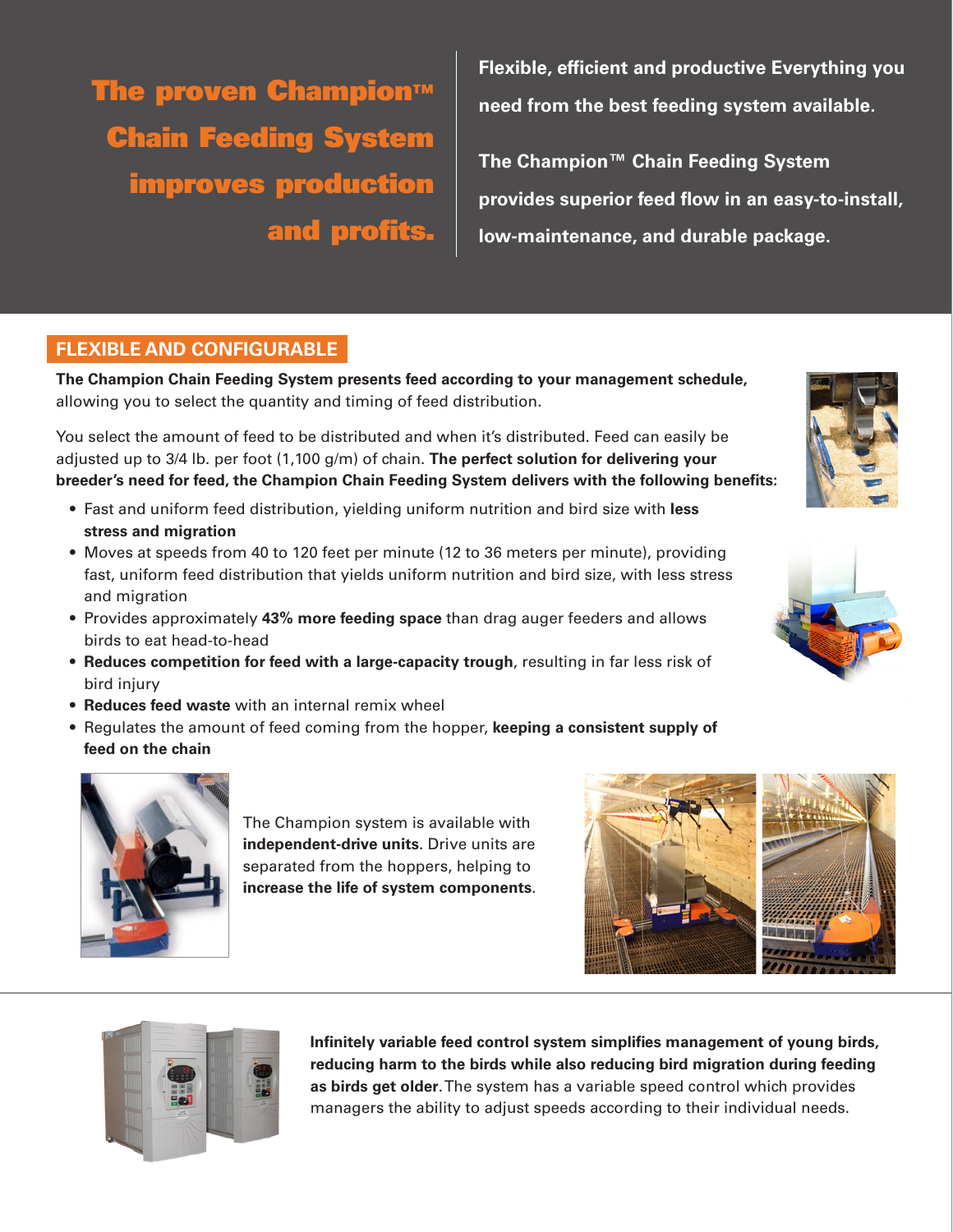The proven Champion™ Chain Feeding System improves production and profits.

**Flexible, efficient and productive Everything you need from the best feeding system available.**

**The Champion™ Chain Feeding System provides superior feed flow in an easy-to-install, low-maintenance, and durable package.**

# **FLEXIBLE AND CONFIGURABLE**

**The Champion Chain Feeding System presents feed according to your management schedule,** allowing you to select the quantity and timing of feed distribution.

You select the amount of feed to be distributed and when it's distributed. Feed can easily be adjusted up to 3/4 lb. per foot (1,100 g/m) of chain. **The perfect solution for delivering your breeder's need for feed, the Champion Chain Feeding System delivers with the following benefits:**

- Fast and uniform feed distribution, yielding uniform nutrition and bird size with **less stress and migration**
- Moves at speeds from 40 to 120 feet per minute (12 to 36 meters per minute), providing fast, uniform feed distribution that yields uniform nutrition and bird size, with less stress and migration
- Provides approximately **43% more feeding space** than drag auger feeders and allows birds to eat head-to-head
- **• Reduces competition for feed with a large-capacity trough**, resulting in far less risk of bird injury
- **• Reduces feed waste** with an internal remix wheel
- Regulates the amount of feed coming from the hopper, **keeping a consistent supply of feed on the chain**

![](_page_1_Picture_12.jpeg)

The Champion system is available with **independent-drive units**. Drive units are separated from the hoppers, helping to **increase the life of system components**.

![](_page_1_Picture_14.jpeg)

![](_page_1_Picture_15.jpeg)

**Infinitely variable feed control system simplifies management of young birds, reducing harm to the birds while also reducing bird migration during feeding as birds get older**. The system has a variable speed control which provides managers the ability to adjust speeds according to their individual needs.

![](_page_1_Picture_17.jpeg)

![](_page_1_Picture_18.jpeg)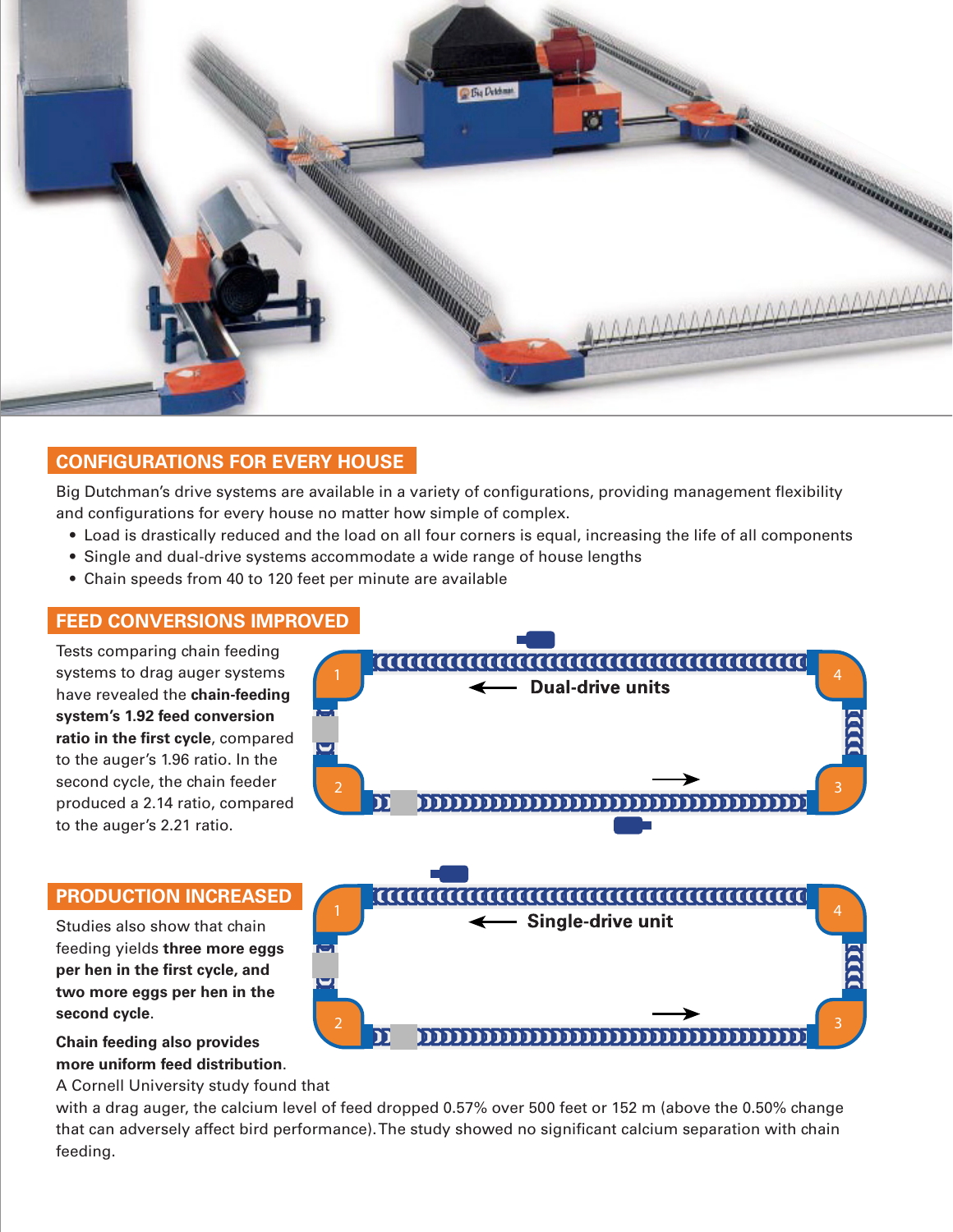![](_page_2_Picture_0.jpeg)

# **CONFIGURATIONS FOR EVERY HOUSE**

Big Dutchman's drive systems are available in a variety of configurations, providing management flexibility and configurations for every house no matter how simple of complex.

- Load is drastically reduced and the load on all four corners is equal, increasing the life of all components
- Single and dual-drive systems accommodate a wide range of house lengths
- Chain speeds from 40 to 120 feet per minute are available

## **FEED CONVERSIONS IMPROVED**

Tests comparing chain feeding systems to drag auger systems have revealed the **chain-feeding system's 1.92 feed conversion ratio in the first cycle**, compared to the auger's 1.96 ratio. In the second cycle, the chain feeder produced a 2.14 ratio, compared to the auger's 2.21 ratio.

## **PRODUCTION INCREASED**

Studies also show that chain feeding yields **three more eggs per hen in the first cycle, and two more eggs per hen in the second cycle**.

**Chain feeding also provides more uniform feed distribution**.

A Cornell University study found that

with a drag auger, the calcium level of feed dropped 0.57% over 500 feet or 152 m (above the 0.50% change that can adversely affect bird performance). The study showed no significant calcium separation with chain feeding.

![](_page_2_Figure_13.jpeg)